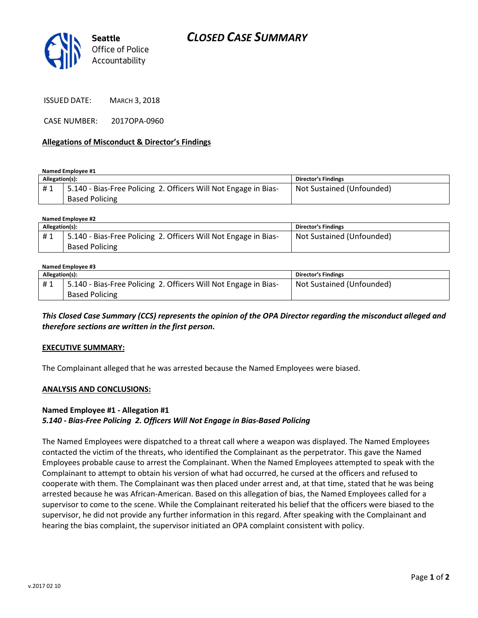

ISSUED DATE: MARCH 3, 2018

CASE NUMBER: 2017OPA-0960

### Allegations of Misconduct & Director's Findings

Named Employee #1

| Allegation(s): |                                                                 | <b>Director's Findings</b> |
|----------------|-----------------------------------------------------------------|----------------------------|
| #1             | 5.140 - Bias-Free Policing 2. Officers Will Not Engage in Bias- | Not Sustained (Unfounded)  |
|                | <b>Based Policing</b>                                           |                            |

#### Named Employee #2

| Allegation(s): |                                                                 | <b>Director's Findings</b> |
|----------------|-----------------------------------------------------------------|----------------------------|
| #1             | 5.140 - Bias-Free Policing 2. Officers Will Not Engage in Bias- | Not Sustained (Unfounded)  |
|                | <b>Based Policing</b>                                           |                            |

#### Named Employee #3

| Allegation(s): |                                                                 | <b>Director's Findings</b> |
|----------------|-----------------------------------------------------------------|----------------------------|
| #1             | 5.140 - Bias-Free Policing 2. Officers Will Not Engage in Bias- | Not Sustained (Unfounded)  |
|                | <b>Based Policing</b>                                           |                            |

This Closed Case Summary (CCS) represents the opinion of the OPA Director regarding the misconduct alleged and therefore sections are written in the first person.

#### EXECUTIVE SUMMARY:

The Complainant alleged that he was arrested because the Named Employees were biased.

#### ANALYSIS AND CONCLUSIONS:

### Named Employee #1 - Allegation #1 5.140 - Bias-Free Policing 2. Officers Will Not Engage in Bias-Based Policing

The Named Employees were dispatched to a threat call where a weapon was displayed. The Named Employees contacted the victim of the threats, who identified the Complainant as the perpetrator. This gave the Named Employees probable cause to arrest the Complainant. When the Named Employees attempted to speak with the Complainant to attempt to obtain his version of what had occurred, he cursed at the officers and refused to cooperate with them. The Complainant was then placed under arrest and, at that time, stated that he was being arrested because he was African-American. Based on this allegation of bias, the Named Employees called for a supervisor to come to the scene. While the Complainant reiterated his belief that the officers were biased to the supervisor, he did not provide any further information in this regard. After speaking with the Complainant and hearing the bias complaint, the supervisor initiated an OPA complaint consistent with policy.